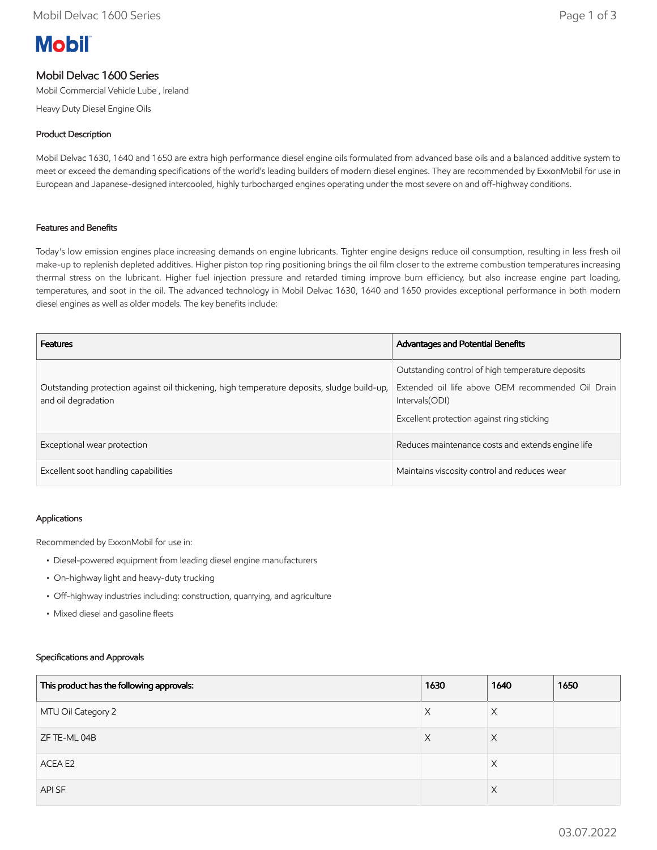# **Mobil**

## Mobil Delvac 1600 Series

Mobil Commercial Vehicle Lube , Ireland

Heavy Duty Diesel Engine Oils

#### Product Description

Mobil Delvac 1630, 1640 and 1650 are extra high performance diesel engine oils formulated from advanced base oils and a balanced additive system to meet or exceed the demanding specifications of the world's leading builders of modern diesel engines. They are recommended by ExxonMobil for use in European and Japanese-designed intercooled, highly turbocharged engines operating under the most severe on and off-highway conditions.

#### Features and Benefits

Today's low emission engines place increasing demands on engine lubricants. Tighter engine designs reduce oil consumption, resulting in less fresh oil make-up to replenish depleted additives. Higher piston top ring positioning brings the oil film closer to the extreme combustion temperatures increasing thermal stress on the lubricant. Higher fuel injection pressure and retarded timing improve burn efficiency, but also increase engine part loading, temperatures, and soot in the oil. The advanced technology in Mobil Delvac 1630, 1640 and 1650 provides exceptional performance in both modern diesel engines as well as older models. The key benefits include:

| <b>Features</b>                                                                                                   | <b>Advantages and Potential Benefits</b>                                                                                                                               |
|-------------------------------------------------------------------------------------------------------------------|------------------------------------------------------------------------------------------------------------------------------------------------------------------------|
| Outstanding protection against oil thickening, high temperature deposits, sludge build-up,<br>and oil degradation | Outstanding control of high temperature deposits<br>Extended oil life above OEM recommended Oil Drain<br>Intervals (ODI)<br>Excellent protection against ring sticking |
| Exceptional wear protection                                                                                       | Reduces maintenance costs and extends engine life                                                                                                                      |
| Excellent soot handling capabilities                                                                              | Maintains viscosity control and reduces wear                                                                                                                           |

#### Applications

Recommended by ExxonMobil for use in:

- Diesel-powered equipment from leading diesel engine manufacturers
- On-highway light and heavy-duty trucking
- Off-highway industries including: construction, quarrying, and agriculture
- Mixed diesel and gasoline fleets

#### Specifications and Approvals

| This product has the following approvals: | 1630 | 1640     | 1650 |
|-------------------------------------------|------|----------|------|
| MTU Oil Category 2                        | X    | $\times$ |      |
| ZF TE-ML 04B                              | X    | X        |      |
| ACEA E2                                   |      | X        |      |
| API SF                                    |      | $\times$ |      |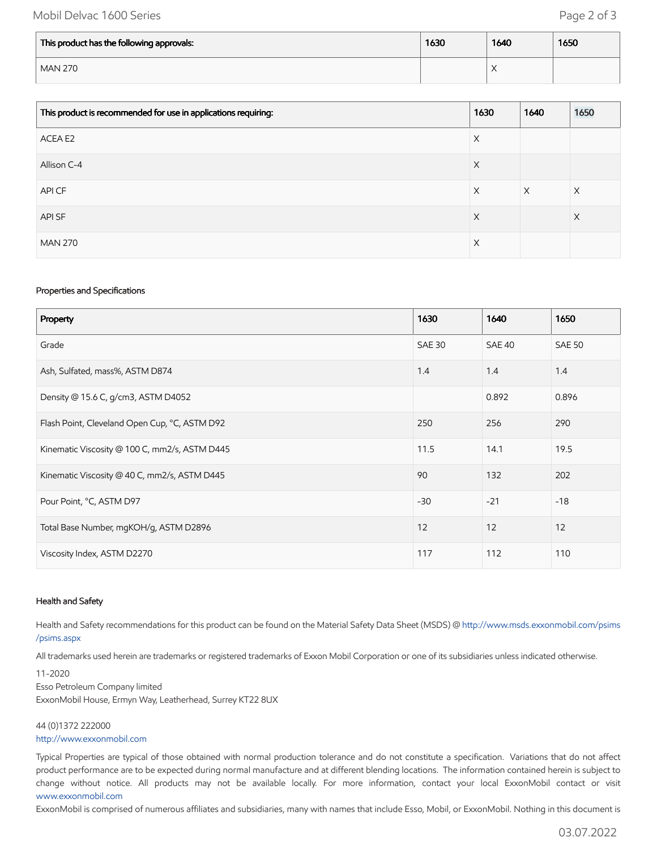### Mobil Delvac 1600 Series **Page 2 of 3**

| This product has the following approvals: | 1630 | 1640                            | 1650 |
|-------------------------------------------|------|---------------------------------|------|
| <b>MAN 270</b>                            |      | $\sqrt{}$<br>$\curvearrowright$ |      |

| This product is recommended for use in applications requiring: | 1630 | 1640     | 1650 |
|----------------------------------------------------------------|------|----------|------|
| ACEA E2                                                        | X    |          |      |
| Allison C-4                                                    | X    |          |      |
| API CF                                                         | X    | $\times$ | Χ    |
| API SF                                                         | X    |          | X    |
| <b>MAN 270</b>                                                 | Χ    |          |      |

#### Properties and Specifications

| Property                                      | 1630          | 1640   | 1650          |
|-----------------------------------------------|---------------|--------|---------------|
| Grade                                         | <b>SAE 30</b> | SAE 40 | <b>SAE 50</b> |
| Ash, Sulfated, mass%, ASTM D874               | 1.4           | 1.4    | 1.4           |
| Density @ 15.6 C, g/cm3, ASTM D4052           |               | 0.892  | 0.896         |
| Flash Point, Cleveland Open Cup, °C, ASTM D92 | 250           | 256    | 290           |
| Kinematic Viscosity @ 100 C, mm2/s, ASTM D445 | 11.5          | 14.1   | 19.5          |
| Kinematic Viscosity @ 40 C, mm2/s, ASTM D445  | 90            | 132    | 202           |
| Pour Point, °C, ASTM D97                      | $-30$         | $-21$  | $-18$         |
| Total Base Number, mgKOH/g, ASTM D2896        | 12            | 12     | 12            |
| Viscosity Index, ASTM D2270                   | 117           | 112    | 110           |

#### Health and Safety

Health and Safety recommendations for this product can be found on the Material Safety Data Sheet (MSDS) @ [http://www.msds.exxonmobil.com/psims](http://www.msds.exxonmobil.com/psims/psims.aspx) /psims.aspx

All trademarks used herein are trademarks or registered trademarks of Exxon Mobil Corporation or one of its subsidiaries unless indicated otherwise.

11-2020 Esso Petroleum Company limited ExxonMobil House, Ermyn Way, Leatherhead, Surrey KT22 8UX

44 (0)1372 222000 [http://www.exxonmobil.com](http://www.exxonmobil.com/)

Typical Properties are typical of those obtained with normal production tolerance and do not constitute a specification. Variations that do not affect product performance are to be expected during normal manufacture and at different blending locations. The information contained herein is subject to change without notice. All products may not be available locally. For more information, contact your local ExxonMobil contact or visit [www.exxonmobil.com](http://www.exxonmobil.com/)

ExxonMobil is comprised of numerous affiliates and subsidiaries, many with names that include Esso, Mobil, or ExxonMobil. Nothing in this document is